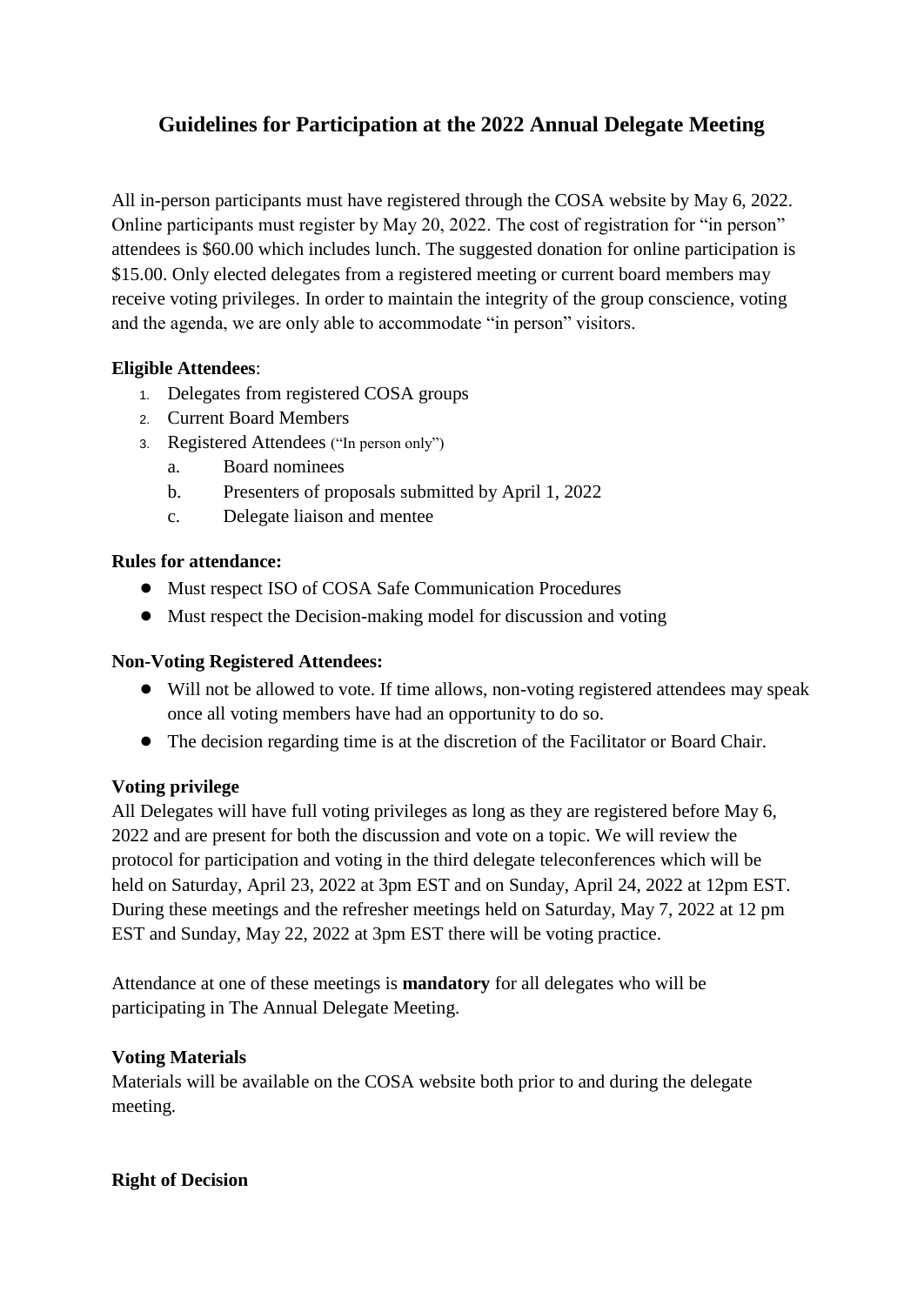### **Guidelines for Participation at the 2022 Annual Delegate Meeting**

All in-person participants must have registered through the COSA website by May 6, 2022. Online participants must register by May 20, 2022. The cost of registration for "in person" attendees is \$60.00 which includes lunch. The suggested donation for online participation is \$15.00. Only elected delegates from a registered meeting or current board members may receive voting privileges. In order to maintain the integrity of the group conscience, voting and the agenda, we are only able to accommodate "in person" visitors.

#### **Eligible Attendees**:

- 1. Delegates from registered COSA groups
- 2. Current Board Members
- 3. Registered Attendees ("In person only")
	- a. Board nominees
	- b. Presenters of proposals submitted by April 1, 2022
	- c. Delegate liaison and mentee

#### **Rules for attendance:**

- Must respect ISO of COSA Safe Communication Procedures
- Must respect the Decision-making model for discussion and voting

#### **Non-Voting Registered Attendees:**

- Will not be allowed to vote. If time allows, non-voting registered attendees may speak once all voting members have had an opportunity to do so.
- The decision regarding time is at the discretion of the Facilitator or Board Chair.

#### **Voting privilege**

All Delegates will have full voting privileges as long as they are registered before May 6, 2022 and are present for both the discussion and vote on a topic. We will review the protocol for participation and voting in the third delegate teleconferences which will be held on Saturday, April 23, 2022 at 3pm EST and on Sunday, April 24, 2022 at 12pm EST. During these meetings and the refresher meetings held on Saturday, May 7, 2022 at 12 pm EST and Sunday, May 22, 2022 at 3pm EST there will be voting practice.

Attendance at one of these meetings is **mandatory** for all delegates who will be participating in The Annual Delegate Meeting.

### **Voting Materials**

Materials will be available on the COSA website both prior to and during the delegate meeting.

#### **Right of Decision**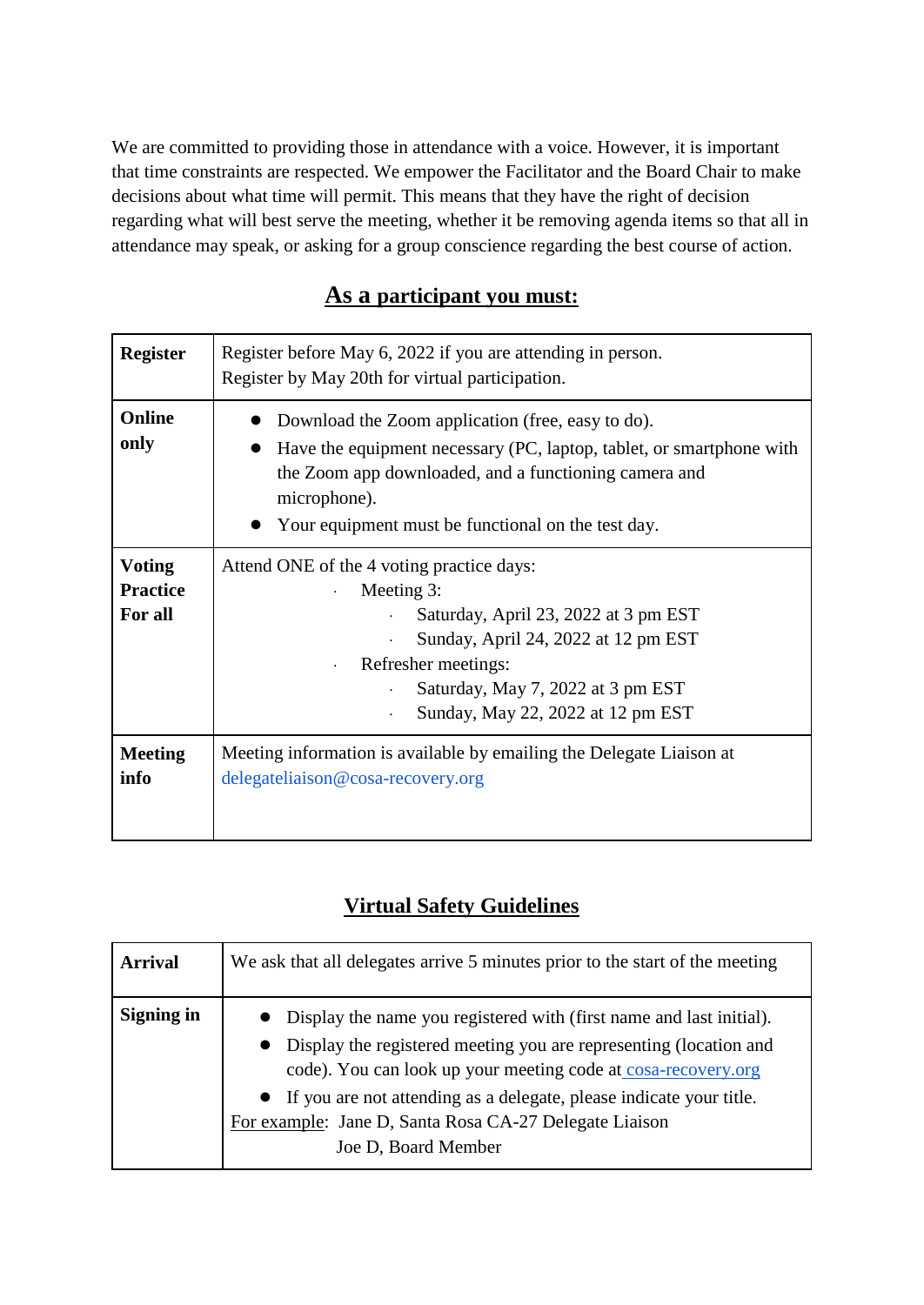We are committed to providing those in attendance with a voice. However, it is important that time constraints are respected. We empower the Facilitator and the Board Chair to make decisions about what time will permit. This means that they have the right of decision regarding what will best serve the meeting, whether it be removing agenda items so that all in attendance may speak, or asking for a group conscience regarding the best course of action.

# **As a participant you must:**

| <b>Register</b>        | Register before May 6, 2022 if you are attending in person.<br>Register by May 20th for virtual participation.                                                                                                                                           |
|------------------------|----------------------------------------------------------------------------------------------------------------------------------------------------------------------------------------------------------------------------------------------------------|
| Online<br>only         | Download the Zoom application (free, easy to do).<br>Have the equipment necessary (PC, laptop, tablet, or smartphone with<br>the Zoom app downloaded, and a functioning camera and<br>microphone).<br>Your equipment must be functional on the test day. |
| <b>Voting</b>          | Attend ONE of the 4 voting practice days:                                                                                                                                                                                                                |
| <b>Practice</b>        | Meeting 3:                                                                                                                                                                                                                                               |
| For all                | Saturday, April 23, 2022 at 3 pm EST                                                                                                                                                                                                                     |
|                        | Sunday, April 24, 2022 at 12 pm EST<br>×.                                                                                                                                                                                                                |
|                        | Refresher meetings:                                                                                                                                                                                                                                      |
|                        | Saturday, May 7, 2022 at 3 pm EST                                                                                                                                                                                                                        |
|                        | Sunday, May 22, 2022 at 12 pm EST<br>×.                                                                                                                                                                                                                  |
| <b>Meeting</b><br>info | Meeting information is available by emailing the Delegate Liaison at<br>delegateliaison@cosa-recovery.org                                                                                                                                                |

# **Virtual Safety Guidelines**

| <b>Arrival</b> | We ask that all delegates arrive 5 minutes prior to the start of the meeting                                                                                                                                                                                                                                                                                                     |
|----------------|----------------------------------------------------------------------------------------------------------------------------------------------------------------------------------------------------------------------------------------------------------------------------------------------------------------------------------------------------------------------------------|
| Signing in     | Display the name you registered with (first name and last initial).<br>Display the registered meeting you are representing (location and<br>$\bullet$<br>code). You can look up your meeting code at cosa-recovery.org<br>• If you are not attending as a delegate, please indicate your title.<br>For example: Jane D, Santa Rosa CA-27 Delegate Liaison<br>Joe D, Board Member |